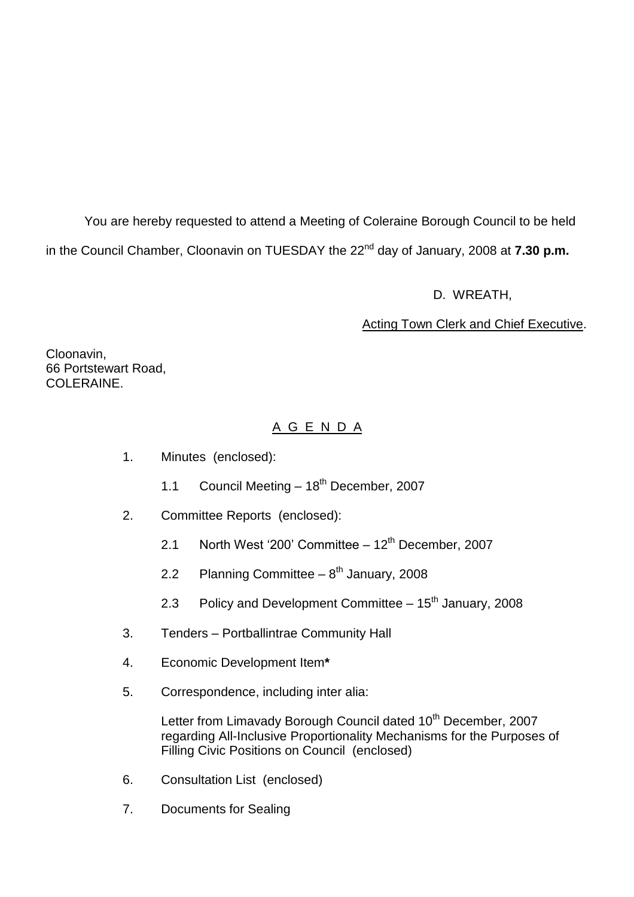You are hereby requested to attend a Meeting of Coleraine Borough Council to be held in the Council Chamber, Cloonavin on TUESDAY the 22<sup>nd</sup> day of January, 2008 at **7.30 p.m.** 

D. WREATH,

# Acting Town Clerk and Chief Executive.

Cloonavin, 66 Portstewart Road, COLERAINE

# A G E N D A

- 1. Minutes (enclosed):
	- 1.1 Council Meeting  $-18^{th}$  December, 2007
- 2. Committee Reports (enclosed):
	- 2.1 North West '200' Committee  $-12^{th}$  December, 2007
	- 2.2 Planning Committee  $-8^{th}$  January, 2008
	- 2.3 Policy and Development Committee  $-15<sup>th</sup>$  January, 2008
- 3. Tenders Portballintrae Community Hall
- 4. Economic Development Item**\***
- 5. Correspondence, including inter alia:

Letter from Limavady Borough Council dated 10<sup>th</sup> December, 2007 regarding All-Inclusive Proportionality Mechanisms for the Purposes of Filling Civic Positions on Council (enclosed)

- 6. Consultation List (enclosed)
- 7. Documents for Sealing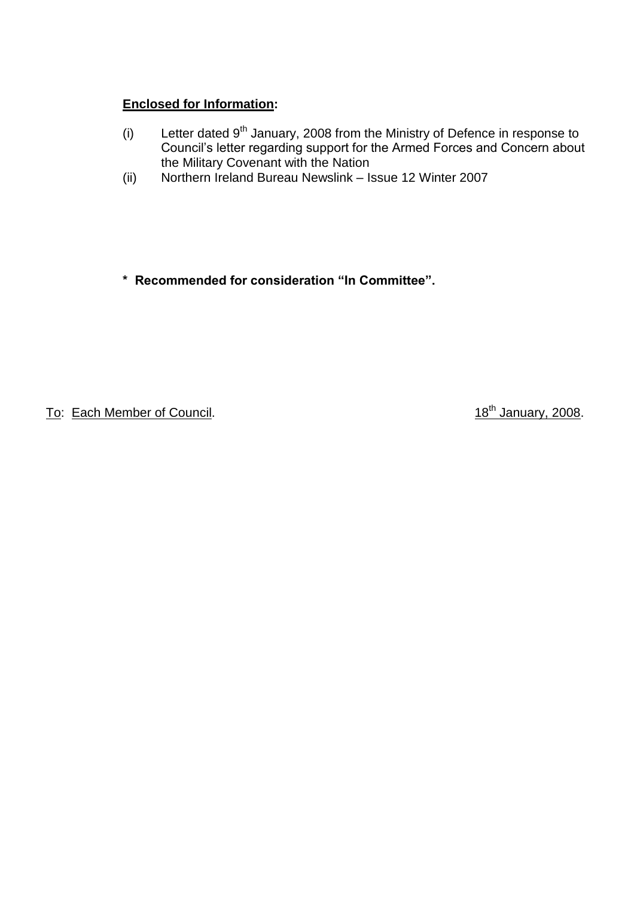# **Enclosed for Information:**

- (i) Letter dated  $9<sup>th</sup>$  January, 2008 from the Ministry of Defence in response to Council's letter regarding support for the Armed Forces and Concern about the Military Covenant with the Nation
- (ii) Northern Ireland Bureau Newslink –Issue 12 Winter 2007

**\*Recommendedforconsideration"InCommittee".**

To: Each Member of Council. To: Each Member of Council.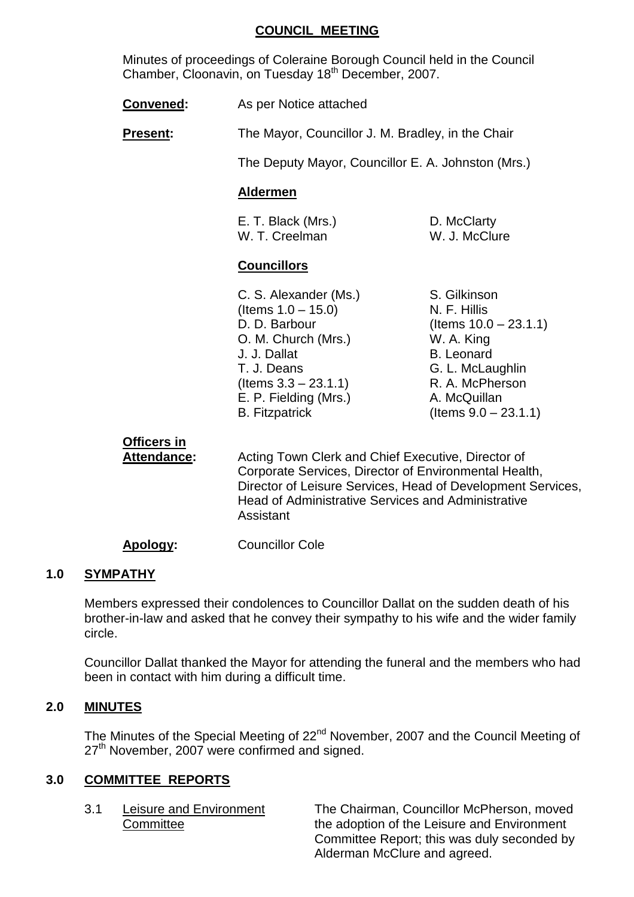## **COUNCIL MEETING**

Minutes of proceedings of Coleraine Borough Council held in the Council Chamber, Cloonavin, on Tuesday 18th December, 2007.

**Convened:** As per Notice attached

**Present:** The Mayor, Councillor J. M. Bradley, in the Chair

The Deputy Mayor, Councillor E. A. Johnston (Mrs.)

# **Aldermen**

E. T. Black (Mrs.) D. McClarty W. T. Creelman W. J. McClure

# **Councillors**

C. S. Alexander (Ms.) S. Gilkinson  $($  Items  $1.0 - 15.0)$  N. F. Hillis O. M. Church (Mrs.) W. A. King J. J. Dallat B. Leonard T. J. Deans G. L. McLaughlin (Items 3.3 –23.1.1) R. A. McPherson E. P. Fielding (Mrs.) A. McQuillan B. Fitzpatrick (Items 9.0 –23.1.1)

D. D. Barbour (Items 10.0 –23.1.1)

**Officers in**

Attendance: Acting Town Clerk and Chief Executive, Director of Corporate Services, Director of Environmental Health, Director of Leisure Services, Head of Development Services, Head of Administrative Services and Administrative Assistant

**Apology:** Councillor Cole

# **1.0 SYMPATHY**

Members expressed their condolences to Councillor Dallat on the sudden death of his brother-in-law and asked that he convey their sympathy to his wife and the wider family circle.

Councillor Dallat thanked the Mayor for attending the funeral and the members who had been in contact with him during a difficult time.

# **2.0 MINUTES**

The Minutes of the Special Meeting of 22<sup>nd</sup> November, 2007 and the Council Meeting of  $27<sup>th</sup>$  November, 2007 were confirmed and signed.

# **3.0 COMMITTEE REPORTS**

3.1 Leisure and Environment The Chairman, Councillor McPherson, moved Committee **the adoption of the Leisure and Environment** Committee Report; this was duly seconded by Alderman McClure and agreed.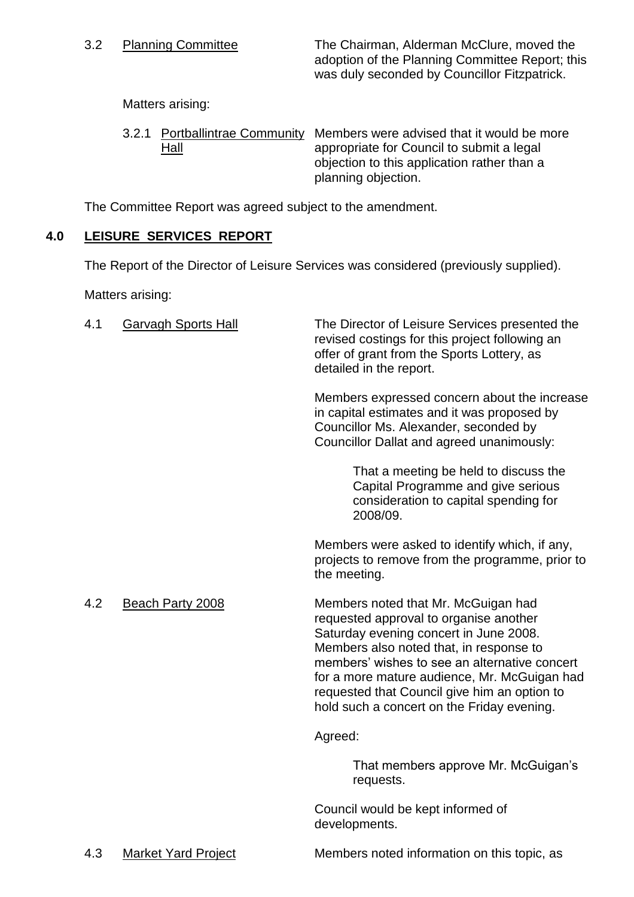3.2 Planning Committee The Chairman, Alderman McClure, moved the adoption of the Planning Committee Report; this was duly seconded by Councillor Fitzpatrick.

Matters arising:

3.2.1 Portballintrae Community Members were advised that it would be more Hall appropriate for Council to submit a legal objection to this application rather than a planning objection.

The Committee Report was agreed subject to the amendment.

# **4.0 LEISURE SERVICES REPORT**

The Report of the Director of Leisure Services was considered (previously supplied).

Matters arising:

| 4.1 | <b>Garvagh Sports Hall</b> | The Director of Leisure Services presented the<br>revised costings for this project following an<br>offer of grant from the Sports Lottery, as<br>detailed in the report.                                                                                                                                                                                         |
|-----|----------------------------|-------------------------------------------------------------------------------------------------------------------------------------------------------------------------------------------------------------------------------------------------------------------------------------------------------------------------------------------------------------------|
|     |                            | Members expressed concern about the increase<br>in capital estimates and it was proposed by<br>Councillor Ms. Alexander, seconded by<br>Councillor Dallat and agreed unanimously:                                                                                                                                                                                 |
|     |                            | That a meeting be held to discuss the<br>Capital Programme and give serious<br>consideration to capital spending for<br>2008/09.                                                                                                                                                                                                                                  |
|     |                            | Members were asked to identify which, if any,<br>projects to remove from the programme, prior to<br>the meeting.                                                                                                                                                                                                                                                  |
| 4.2 | Beach Party 2008           | Members noted that Mr. McGuigan had<br>requested approval to organise another<br>Saturday evening concert in June 2008.<br>Members also noted that, in response to<br>members' wishes to see an alternative concert<br>for a more mature audience, Mr. McGuigan had<br>requested that Council give him an option to<br>hold such a concert on the Friday evening. |
|     |                            | Agreed:                                                                                                                                                                                                                                                                                                                                                           |
|     |                            | That members approve Mr. McGuigan's<br>requests.                                                                                                                                                                                                                                                                                                                  |
|     |                            | Council would be kept informed of<br>developments.                                                                                                                                                                                                                                                                                                                |
| 4.3 | Market Yard Project        | Members noted information on this topic, as                                                                                                                                                                                                                                                                                                                       |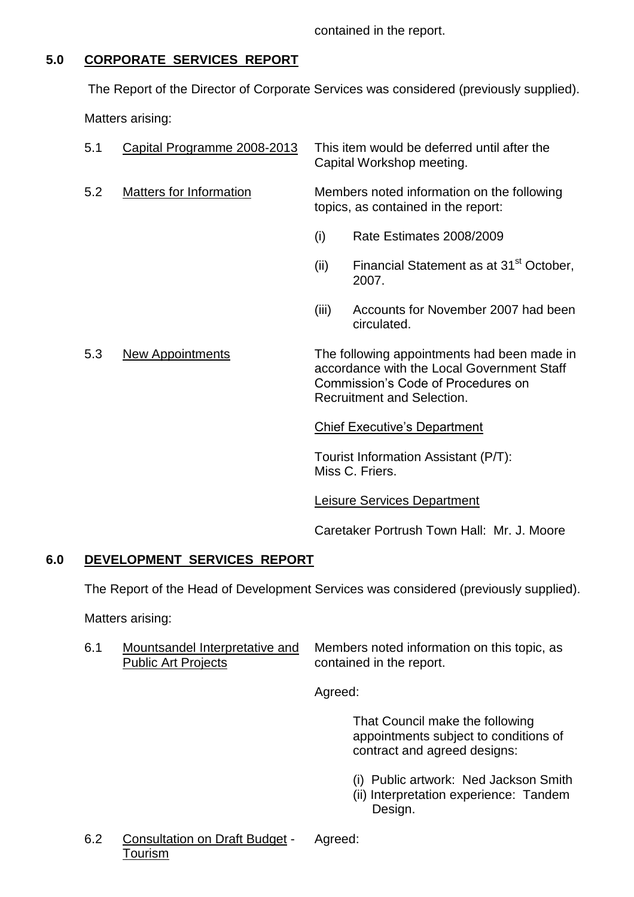contained in the report.

# **5.0 CORPORATE SERVICES REPORT**

The Report of the Director of Corporate Services was considered (previously supplied).

Matters arising:

| 5.1 | Capital Programme 2008-2013    |                                                                                                                                                               | This item would be deferred until after the<br>Capital Workshop meeting. |
|-----|--------------------------------|---------------------------------------------------------------------------------------------------------------------------------------------------------------|--------------------------------------------------------------------------|
| 5.2 | <b>Matters for Information</b> | Members noted information on the following<br>topics, as contained in the report:                                                                             |                                                                          |
|     |                                | (i)                                                                                                                                                           | Rate Estimates 2008/2009                                                 |
|     |                                | (ii)                                                                                                                                                          | Financial Statement as at 31 <sup>st</sup> October,<br>2007.             |
|     |                                | (iii)                                                                                                                                                         | Accounts for November 2007 had been<br>circulated.                       |
| 5.3 | <b>New Appointments</b>        | The following appointments had been made in<br>accordance with the Local Government Staff<br>Commission's Code of Procedures on<br>Recruitment and Selection. |                                                                          |
|     |                                |                                                                                                                                                               | <b>Chief Executive's Department</b>                                      |
|     |                                |                                                                                                                                                               | Tourist Information Assistant (P/T):<br>Miss C. Friers.                  |

Leisure Services Department

Caretaker Portrush Town Hall: Mr. J. Moore

# **6.0 DEVELOPMENT SERVICES REPORT**

The Report of the Head of Development Services was considered (previously supplied).

Matters arising:

6.1 Mountsandel Interpretative and Members noted information on this topic, as Public Art Projects contained in the report.

Agreed:

That Council make the following appointments subject to conditions of contract and agreed designs:

- (i) Public artwork: Ned Jackson Smith
- (ii) Interpretation experience: Tandem Design.
- 6.2 Consultation on Draft Budget Agreed: Tourism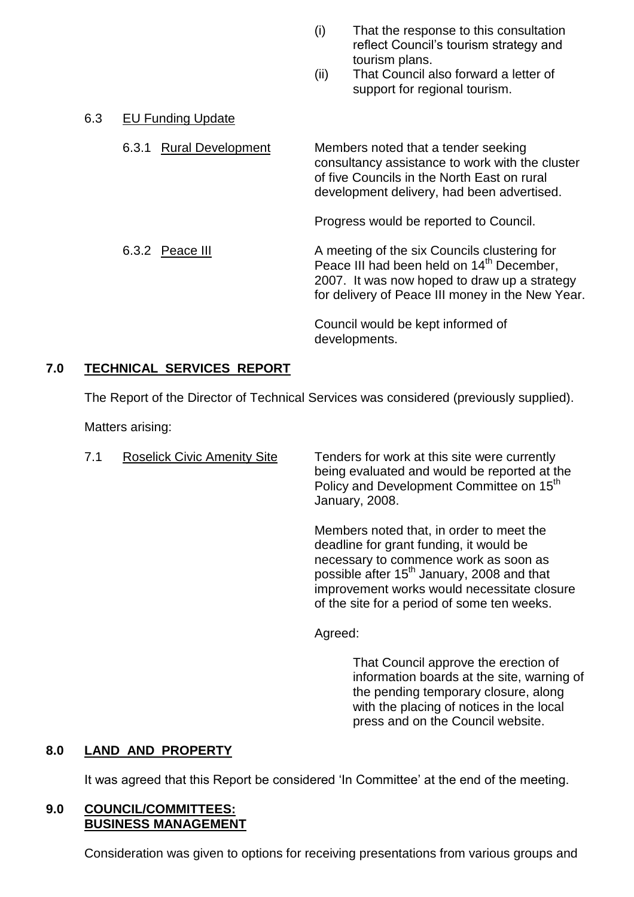- (i) That the response to this consultation reflect Council's tourism strategy and tourism plans.
- (ii) That Council also forward a letter of support for regional tourism.

# 6.3 EU Funding Update

6.3.1 Rural Development Members noted that a tender seeking consultancy assistance to work with the cluster of five Councils in the North East on rural development delivery, had been advertised. Progress would be reported to Council. 6.3.2 Peace III A meeting of the six Councils clustering for Peace III had been held on 14<sup>th</sup> December. 2007. It was now hoped to draw up a strategy for delivery of Peace III money in the New Year. Council would be kept informed of developments.

# **7.0 TECHNICAL SERVICES REPORT**

The Report of the Director of Technical Services was considered (previously supplied).

Matters arising:

7.1 Roselick Civic Amenity Site Tenders for work at this site were currently being evaluated and would be reported at the Policy and Development Committee on 15<sup>th</sup> January, 2008.

> Members noted that, in order to meet the deadline for grant funding, it would be necessary to commence work as soon as possible after 15<sup>th</sup> January, 2008 and that improvement works would necessitate closure of the site for a period of some ten weeks.

Agreed:

That Council approve the erection of information boards at the site, warning of the pending temporary closure, along with the placing of notices in the local press and on the Council website.

# **8.0 LAND AND PROPERTY**

It was agreed that this Report be considered 'In Committee' at the end of the meeting.

#### **9.0 COUNCIL/COMMITTEES: BUSINESS MANAGEMENT**

Consideration was given to options for receiving presentations from various groups and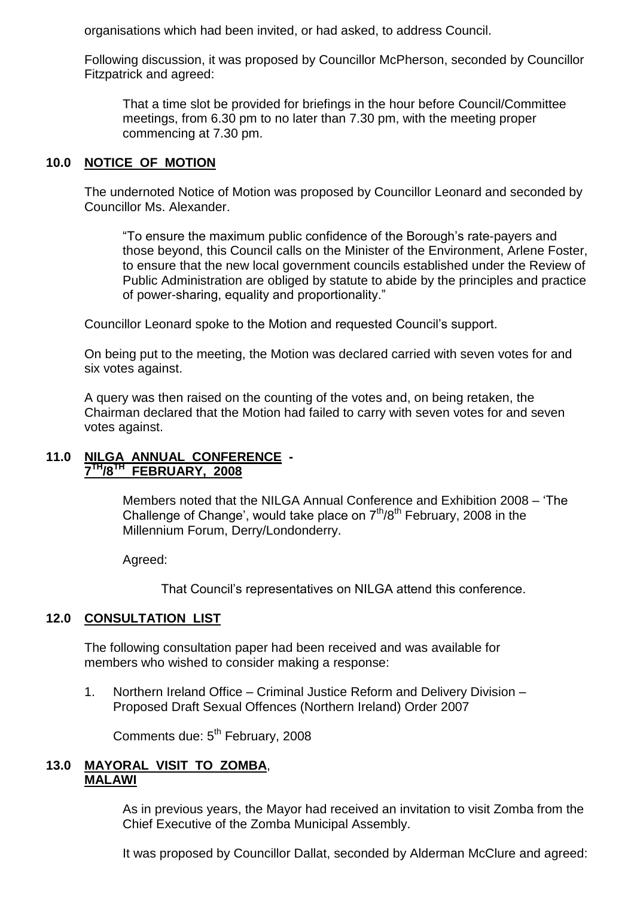organisations which had been invited, or had asked, to address Council.

Following discussion, it was proposed by Councillor McPherson, seconded by Councillor Fitzpatrick and agreed:

That a time slot be provided for briefings in the hour before Council/Committee meetings, from 6.30 pm to no later than 7.30 pm, with the meeting proper commencing at 7.30 pm.

# **10.0 NOTICE OF MOTION**

The undernoted Notice of Motion was proposed by Councillor Leonard and seconded by Councillor Ms. Alexander.

"To ensure the maximum public confidence of the Borough's rate-payers and those beyond, this Council calls on the Minister of the Environment, Arlene Foster, to ensure that the new local government councils established under the Review of Public Administration are obliged by statute to abide by the principles and practice of power-sharing, equality and proportionality."

Councillor Leonard spoke to the Motion and requested Council's support.

On being put to the meeting, the Motion was declared carried with seven votes for and six votes against.

A query was then raised on the counting of the votes and, on being retaken, the Chairman declared that the Motion had failed to carry with seven votes for and seven votes against.

# **11.0 NILGA ANNUAL CONFERENCE - 7 TH/8TH FEBRUARY, 2008**

Members noted that the NILGA Annual Conference and Exhibition 2008 –'The Challenge of Change', would take place on  $7<sup>th</sup>/8<sup>th</sup>$  February, 2008 in the Millennium Forum, Derry/Londonderry.

Agreed:

That Council's representatives on NILGA attend this conference.

## **12.0 CONSULTATION LIST**

The following consultation paper had been received and was available for members who wished to consider making a response:

1. Northern Ireland Office – Criminal Justice Reform and Delivery Division – Proposed Draft Sexual Offences (Northern Ireland) Order 2007

Comments due: 5<sup>th</sup> February, 2008

#### **13.0 MAYORAL VISIT TO ZOMBA**, **MALAWI**

As in previous years, the Mayor had received an invitation to visit Zomba from the Chief Executive of the Zomba Municipal Assembly.

It was proposed by Councillor Dallat, seconded by Alderman McClure and agreed: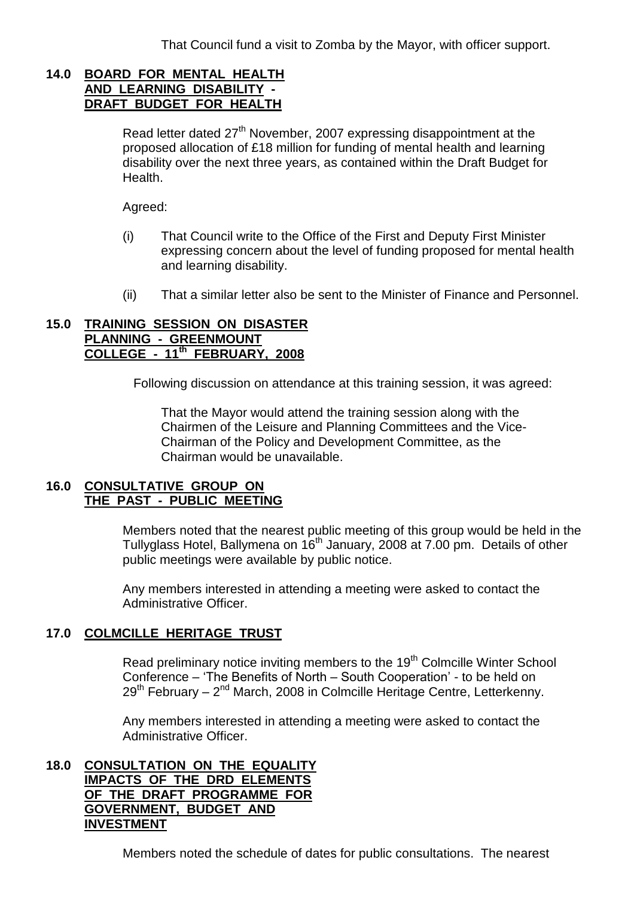That Council fund a visit to Zomba by the Mayor, with officer support.

## **14.0 BOARD FOR MENTAL HEALTH AND LEARNING DISABILITY - DRAFT BUDGET FOR HEALTH**

Read letter dated  $27<sup>th</sup>$  November, 2007 expressing disappointment at the proposed allocation of £18 million for funding of mental health and learning disability over the next three years, as contained within the Draft Budget for Health.

Agreed:

- (i) That Council write to the Office of the First and Deputy First Minister expressing concern about the level of funding proposed for mental health and learning disability.
- (ii) That a similar letter also be sent to the Minister of Finance and Personnel.

### **15.0 TRAINING SESSION ON DISASTER PLANNING - GREENMOUNT COLLEGE - 11th FEBRUARY, 2008**

Following discussion on attendance at this training session, it was agreed:

That the Mayor would attend the training session along with the Chairmen of the Leisure and Planning Committees and the Vice-Chairman of the Policy and Development Committee, as the Chairman would be unavailable.

# **16.0 CONSULTATIVE GROUP ON THE PAST - PUBLIC MEETING**

Members noted that the nearest public meeting of this group would be held in the Tullyglass Hotel, Ballymena on 16<sup>th</sup> January, 2008 at 7.00 pm. Details of other public meetings were available by public notice.

Any members interested in attending a meeting were asked to contact the Administrative Officer.

# **17.0 COLMCILLE HERITAGE TRUST**

Read preliminary notice inviting members to the 19<sup>th</sup> Colmcille Winter School Conference – 'The Benefits of North – South Cooperation' - to be held on 29<sup>th</sup> February – 2<sup>nd</sup> March, 2008 in Colmcille Heritage Centre, Letterkenny.

Any members interested in attending a meeting were asked to contact the Administrative Officer.

## **18.0 CONSULTATION ON THE EQUALITY IMPACTS OF THE DRD ELEMENTS OF THE DRAFT PROGRAMME FOR GOVERNMENT, BUDGET AND INVESTMENT**

Members noted the schedule of dates for public consultations. The nearest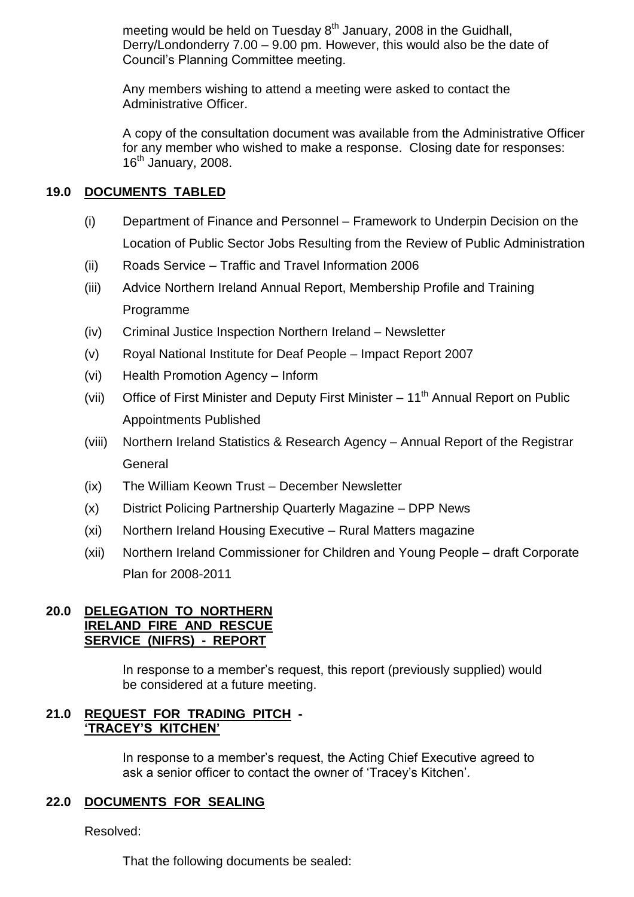meeting would be held on Tuesday  $8<sup>th</sup>$  January, 2008 in the Guidhall, Derry/Londonderry 7.00 –9.00 pm. However, this would also be the date of Council's Planning Committee meeting.

Any members wishing to attend a meeting were asked to contact the Administrative Officer.

A copy of the consultation document was available from the Administrative Officer for any member who wished to make a response. Closing date for responses:  $16<sup>th</sup>$  January, 2008.

# **19.0 DOCUMENTS TABLED**

- (i) Department of Finance and Personnel –Framework to Underpin Decision on the Location of Public Sector Jobs Resulting from the Review of Public Administration
- (ii) Roads Service Traffic and Travel Information 2006
- (iii) Advice Northern Ireland Annual Report, Membership Profile and Training Programme
- (iv) Criminal Justice Inspection Northern Ireland –Newsletter
- (v) Royal National Institute for Deaf People –Impact Report 2007
- (vi) Health Promotion Agency Inform
- (vii) Office of First Minister and Deputy First Minister  $-11<sup>th</sup>$  Annual Report on Public Appointments Published
- (viii) Northern Ireland Statistics & Research Agency Annual Report of the Registrar **General**
- (ix) The William Keown Trust December Newsletter
- (x) District Policing Partnership Quarterly Magazine –DPP News
- (xi) Northern Ireland Housing Executive Rural Matters magazine
- (xii) Northern Ireland Commissioner for Children and Young People draft Corporate Plan for 2008-2011

## **20.0 DELEGATION TO NORTHERN IRELAND FIRE AND RESCUE SERVICE (NIFRS) - REPORT**

In response to a member's request, this report (previously supplied) would be considered at a future meeting.

# **21.0 REQUEST FOR TRADING PITCH - 'TRACEY'S KITCHEN'**

In response to a member's request, the Acting Chief Executive agreed to ask a senior officer to contact the owner of 'Tracey's Kitchen'.

## **22.0 DOCUMENTS FOR SEALING**

Resolved:

That the following documents be sealed: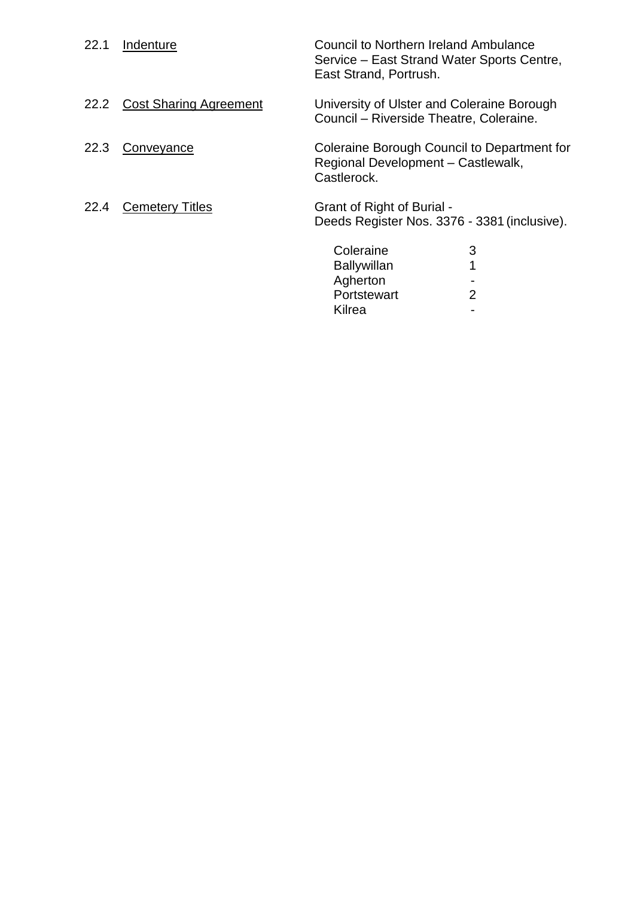| 22.1 | Indenture                     | <b>Council to Northern Ireland Ambulance</b><br>Service – East Strand Water Sports Centre,<br>East Strand, Portrush. |
|------|-------------------------------|----------------------------------------------------------------------------------------------------------------------|
| 22.2 | <b>Cost Sharing Agreement</b> | University of Ulster and Coleraine Borough<br>Council – Riverside Theatre, Coleraine.                                |
| 22.3 | Conveyance                    | Coleraine Borough Council to Department for<br>Regional Development - Castlewalk,<br>Castlerock.                     |
| 22.4 | <b>Cemetery Titles</b>        | Grant of Right of Burial -<br>Deeds Register Nos. 3376 - 3381 (inclusive).                                           |
|      |                               | Coleraine<br>3<br><b>Ballywillan</b><br>Agherton<br>2<br>Portstewart<br>Kilrea                                       |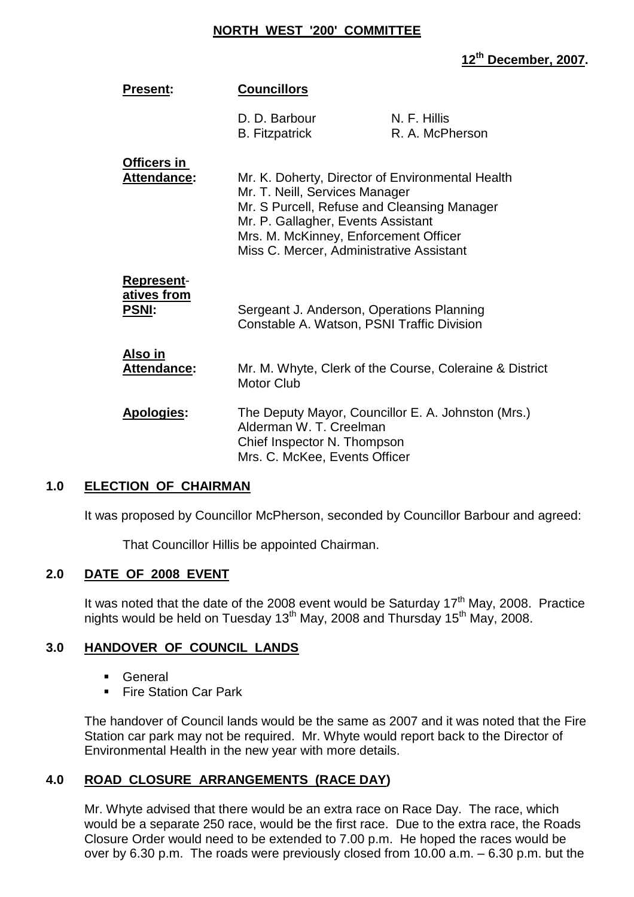#### **NORTH WEST '200' COMMITTEE**

# **12th December, 2007.**

| <b>Present:</b>                                         | <b>Councillors</b>                                                                                            |                                                                                                                                             |
|---------------------------------------------------------|---------------------------------------------------------------------------------------------------------------|---------------------------------------------------------------------------------------------------------------------------------------------|
|                                                         | D. D. Barbour<br><b>B.</b> Fitzpatrick                                                                        | N. F. Hillis<br>R. A. McPherson                                                                                                             |
| <u>Officers in</u><br>Attendance:                       | Mr. T. Neill, Services Manager<br>Mr. P. Gallagher, Events Assistant<br>Mrs. M. McKinney, Enforcement Officer | Mr. K. Doherty, Director of Environmental Health<br>Mr. S Purcell, Refuse and Cleansing Manager<br>Miss C. Mercer, Administrative Assistant |
| <b>Represent-</b><br><u>atives from</u><br><b>PSNI:</b> |                                                                                                               | Sergeant J. Anderson, Operations Planning<br>Constable A. Watson, PSNI Traffic Division                                                     |
| <u>Also in</u><br>Attendance:                           | <b>Motor Club</b>                                                                                             | Mr. M. Whyte, Clerk of the Course, Coleraine & District                                                                                     |
| Apologies:                                              | Alderman W. T. Creelman<br>Chief Inspector N. Thompson<br>Mrs. C. McKee, Events Officer                       | The Deputy Mayor, Councillor E. A. Johnston (Mrs.)                                                                                          |

## **1.0 ELECTION OF CHAIRMAN**

It was proposed by Councillor McPherson, seconded by Councillor Barbour and agreed:

That Councillor Hillis be appointed Chairman.

## **2.0 DATE OF 2008 EVENT**

It was noted that the date of the 2008 event would be Saturday 17<sup>th</sup> May, 2008. Practice nights would be held on Tuesday 13<sup>th</sup> May, 2008 and Thursday 15<sup>th</sup> May, 2008.

## **3.0 HANDOVER OF COUNCIL LANDS**

- General
- Fire Station Car Park

The handover of Council lands would be the same as 2007 and it was noted that the Fire Station car park may not be required. Mr. Whyte would report back to the Director of Environmental Health in the new year with more details.

# **4.0 ROAD CLOSURE ARRANGEMENTS (RACE DAY)**

Mr. Whyte advised that there would be an extra race on Race Day. The race, which would be a separate 250 race, would be the first race. Due to the extra race, the Roads Closure Order would need to be extended to 7.00 p.m. He hoped the races would be over by 6.30 p.m. The roads were previously closed from 10.00 a.m. –6.30 p.m. but the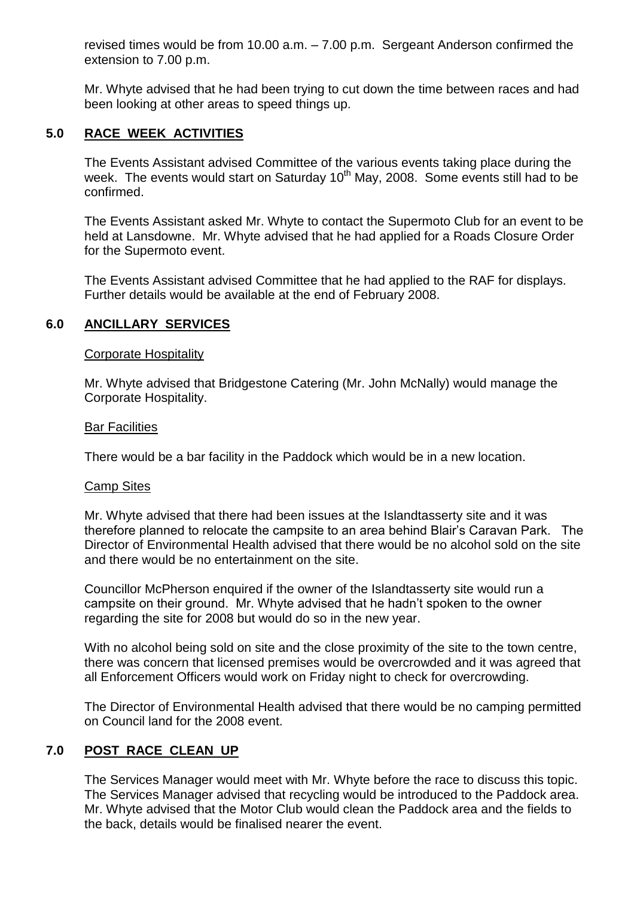revised times would be from 10.00 a.m. –7.00 p.m. Sergeant Anderson confirmed the extension to 7.00 p.m.

Mr. Whyte advised that he had been trying to cut down the time between races and had been looking at other areas to speed things up.

# **5.0 RACE WEEK ACTIVITIES**

The Events Assistant advised Committee of the various events taking place during the week. The events would start on Saturday  $10^{th}$  May, 2008. Some events still had to be confirmed.

The Events Assistant asked Mr. Whyte to contact the Supermoto Club for an event to be held at Lansdowne. Mr. Whyte advised that he had applied for a Roads Closure Order for the Supermoto event.

The Events Assistant advised Committee that he had applied to the RAF for displays. Further details would be available at the end of February 2008.

# **6.0 ANCILLARY SERVICES**

## Corporate Hospitality

Mr. Whyte advised that Bridgestone Catering (Mr. John McNally) would manage the Corporate Hospitality.

#### Bar Facilities

There would be a bar facility in the Paddock which would be in a new location.

#### Camp Sites

Mr. Whyte advised that there had been issues at the Islandtasserty site and it was therefore planned to relocate the campsite to an area behind Blair's Caravan Park. The Director of Environmental Health advised that there would be no alcohol sold on the site and there would be no entertainment on the site.

Councillor McPherson enquired if the owner of the Islandtasserty site would run a campsite on their ground. Mr. Whyte advised that he hadn't spoken to the owner regarding the site for 2008 but would do so in the new year.

With no alcohol being sold on site and the close proximity of the site to the town centre, there was concern that licensed premises would be overcrowded and it was agreed that all Enforcement Officers would work on Friday night to check for overcrowding.

The Director of Environmental Health advised that there would be no camping permitted on Council land for the 2008 event.

# **7.0 POST RACE CLEAN UP**

The Services Manager would meet with Mr. Whyte before the race to discuss this topic. The Services Manager advised that recycling would be introduced to the Paddock area. Mr. Whyte advised that the Motor Club would clean the Paddock area and the fields to the back, details would be finalised nearer the event.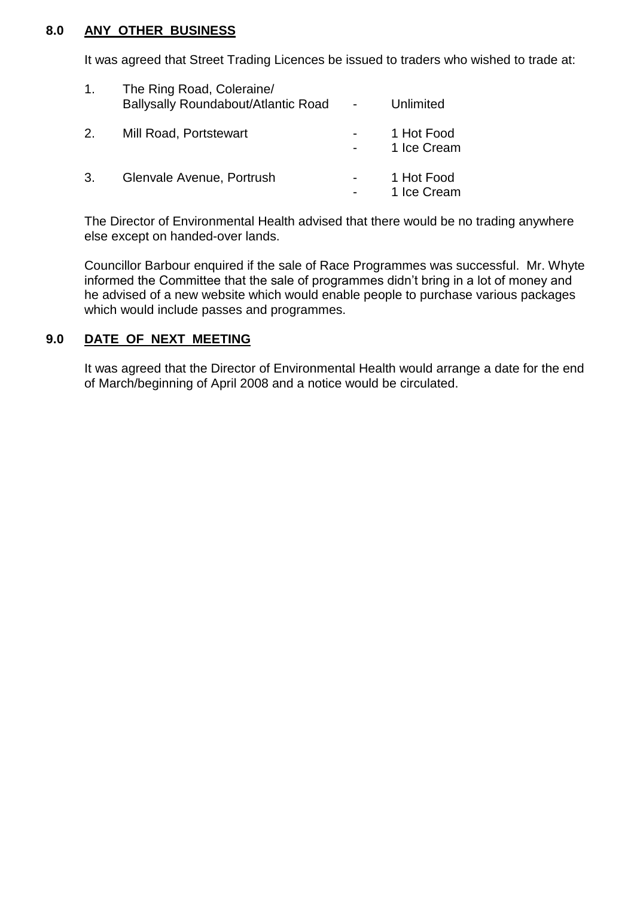## **8.0 ANY OTHER BUSINESS**

It was agreed that Street Trading Licences be issued to traders who wished to trade at:

| 1 <sub>1</sub> | The Ring Road, Coleraine/<br>Ballysally Roundabout/Atlantic Road | Unlimited                 |
|----------------|------------------------------------------------------------------|---------------------------|
| 2.             | Mill Road, Portstewart                                           | 1 Hot Food<br>1 Ice Cream |
| 3.             | Glenvale Avenue, Portrush                                        | 1 Hot Food<br>1 Ice Cream |

The Director of Environmental Health advised that there would be no trading anywhere else except on handed-over lands.

Councillor Barbour enquired if the sale of Race Programmes was successful. Mr. Whyte informed the Committee that the sale of programmes didn't bring in a lot of money and he advised of a new website which would enable people to purchase various packages which would include passes and programmes.

# **9.0 DATE OF NEXT MEETING**

It was agreed that the Director of Environmental Health would arrange a date for the end of March/beginning of April 2008 and a notice would be circulated.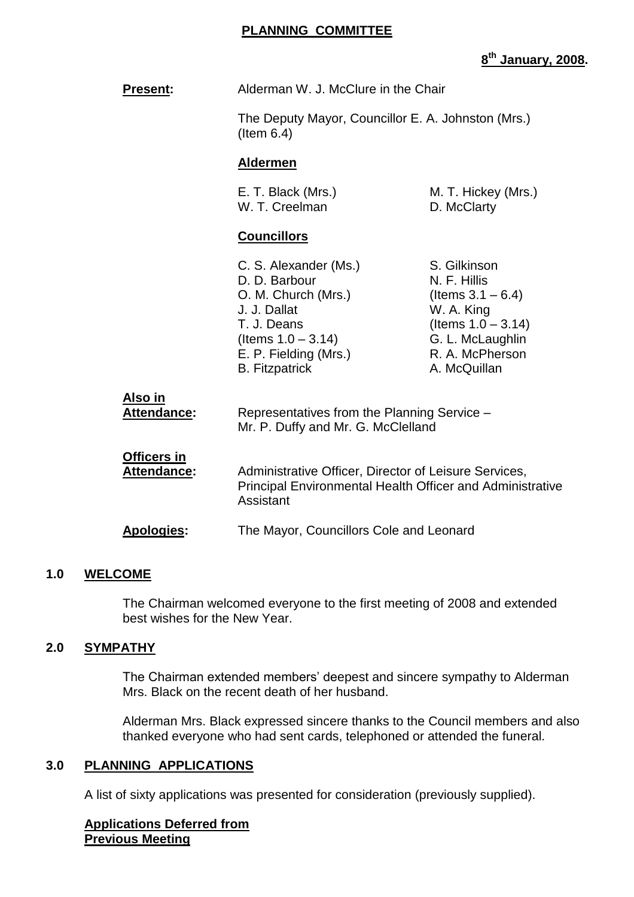#### **PLANNING COMMITTEE**

# **8 th January, 2008.**

| <b>Present:</b>                          | Alderman W. J. McClure in the Chair                                                                                                                                     |                                                                                                                                                    |  |
|------------------------------------------|-------------------------------------------------------------------------------------------------------------------------------------------------------------------------|----------------------------------------------------------------------------------------------------------------------------------------------------|--|
|                                          | The Deputy Mayor, Councillor E. A. Johnston (Mrs.)<br>$($ ltem $6.4)$                                                                                                   |                                                                                                                                                    |  |
|                                          | <b>Aldermen</b>                                                                                                                                                         |                                                                                                                                                    |  |
|                                          | E. T. Black (Mrs.)<br>M. T. Hickey (Mrs.)<br>W. T. Creelman<br>D. McClarty                                                                                              |                                                                                                                                                    |  |
|                                          | <b>Councillors</b>                                                                                                                                                      |                                                                                                                                                    |  |
|                                          | C. S. Alexander (Ms.)<br>D. D. Barbour<br>O. M. Church (Mrs.)<br>J. J. Dallat<br>T. J. Deans<br>(Items $1.0 - 3.14$ )<br>E. P. Fielding (Mrs.)<br><b>B.</b> Fitzpatrick | S. Gilkinson<br>N. F. Hillis<br>(Items $3.1 - 6.4$ )<br>W. A. King<br>(Items $1.0 - 3.14$ )<br>G. L. McLaughlin<br>R. A. McPherson<br>A. McQuillan |  |
| Also in<br><b>Attendance:</b>            | Representatives from the Planning Service -<br>Mr. P. Duffy and Mr. G. McClelland                                                                                       |                                                                                                                                                    |  |
| <b>Officers in</b><br><b>Attendance:</b> | Administrative Officer, Director of Leisure Services,<br><b>Principal Environmental Health Officer and Administrative</b><br>Assistant                                  |                                                                                                                                                    |  |
| Apologies:                               | The Mayor, Councillors Cole and Leonard                                                                                                                                 |                                                                                                                                                    |  |
|                                          |                                                                                                                                                                         |                                                                                                                                                    |  |

## **1.0 WELCOME**

The Chairman welcomed everyone to the first meeting of 2008 and extended best wishes for the New Year.

# **2.0 SYMPATHY**

The Chairman extended members' deepest and sincere sympathy to Alderman Mrs. Black on the recent death of her husband.

Alderman Mrs. Black expressed sincere thanks to the Council members and also thanked everyone who had sent cards, telephoned or attended the funeral.

#### **3.0 PLANNING APPLICATIONS**

A list of sixty applications was presented for consideration (previously supplied).

## **Applications Deferred from Previous Meeting**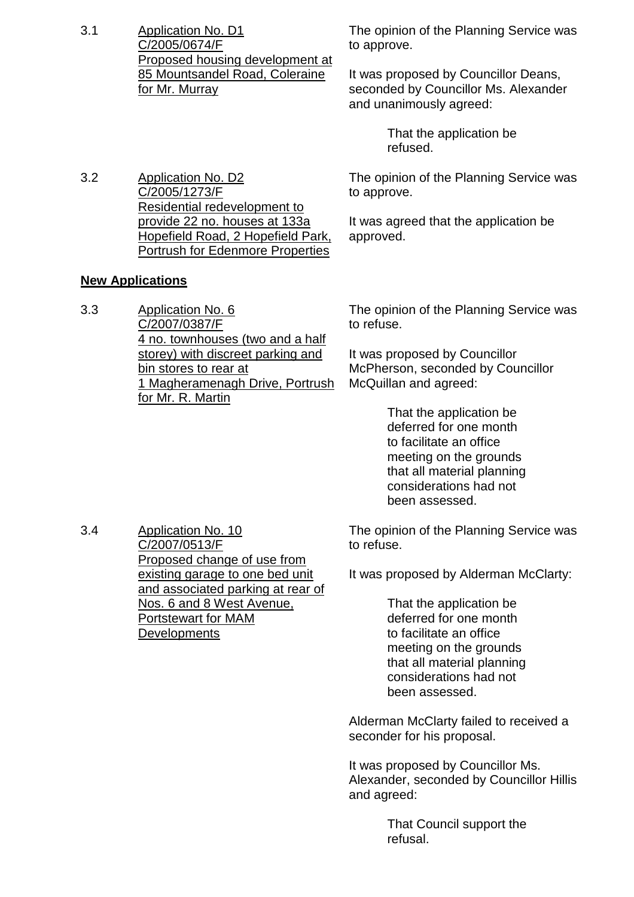3.1 Application No. D1 C/2005/0674/F Proposed housing development at 85 Mountsandel Road, Coleraine for Mr. Murray

The opinion of the Planning Service was to approve.

It was proposed by Councillor Deans, seconded by Councillor Ms. Alexander and unanimously agreed:

> That the application be refused.

3.2 Application No. D2 C/2005/1273/F Residential redevelopment to provide 22 no. houses at 133a Hopefield Road, 2 Hopefield Park, Portrush for Edenmore Properties

The opinion of the Planning Service was to approve.

It was agreed that the application be approved.

# **New Applications**

3.3 Application No. 6 C/2007/0387/F 4 no. townhouses (two and a half storey) with discreet parking and bin stores to rear at 1 Magheramenagh Drive, Portrush for Mr. R. Martin

The opinion of the Planning Service was to refuse.

It was proposed by Councillor McPherson, seconded by Councillor McQuillan and agreed:

> That the application be deferred for one month to facilitate an office meeting on the grounds that all material planning considerations had not been assessed.

3.4 Application No. 10 C/2007/0513/F Proposed change of use from existing garage to one bed unit and associated parking at rear of Nos. 6 and 8 West Avenue, Portstewart for MAM

**Developments** 

The opinion of the Planning Service was to refuse.

It was proposed by Alderman McClarty:

That the application be deferred for one month to facilitate an office meeting on the grounds that all material planning considerations had not been assessed.

Alderman McClarty failed to received a seconder for his proposal.

It was proposed by Councillor Ms. Alexander, seconded by Councillor Hillis and agreed:

> That Council support the refusal.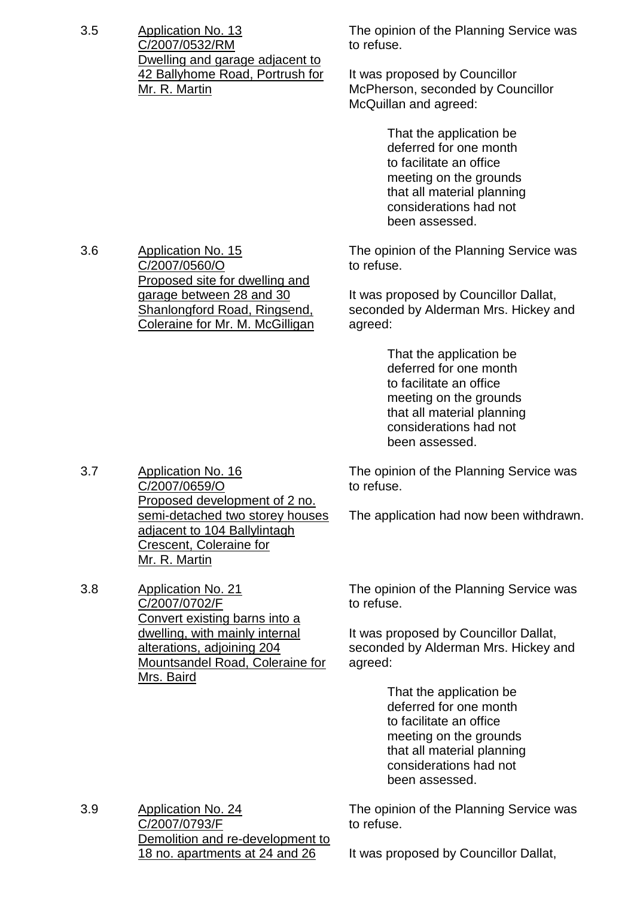3.5 Application No. 13 C/2007/0532/RM Dwelling and garage adjacent to 42 Ballyhome Road, Portrush for Mr. R. Martin

3.6 Application No. 15

3.7 Application No. 16

C/2007/0560/O

Proposed site for dwelling and garage between 28 and 30 Shanlongford Road, Ringsend, Coleraine for Mr. M. McGilligan The opinion of the Planning Service was to refuse.

It was proposed by Councillor McPherson, seconded by Councillor McQuillan and agreed:

> That the application be deferred for one month to facilitate an office meeting on the grounds that all material planning considerations had not been assessed.

The opinion of the Planning Service was to refuse.

It was proposed by Councillor Dallat, seconded by Alderman Mrs. Hickey and agreed:

> That the application be deferred for one month to facilitate an office meeting on the grounds that all material planning considerations had not been assessed.

The opinion of the Planning Service was to refuse.

The application had now been withdrawn.

C/2007/0702/F Convert existing barns into a dwelling, with mainly internal alterations, adjoining 204 Mountsandel Road, Coleraine for

The opinion of the Planning Service was to refuse.

It was proposed by Councillor Dallat, seconded by Alderman Mrs. Hickey and agreed:

> That the application be deferred for one month to facilitate an office meeting on the grounds that all material planning considerations had not been assessed.

3.9 Application No. 24 C/2007/0793/F Demolition and re-development to 18 no. apartments at 24 and 26

The opinion of the Planning Service was to refuse.

It was proposed by Councillor Dallat,

C/2007/0659/O Proposed development of 2 no. semi-detached two storey houses adjacent to 104 Ballylintagh Crescent, Coleraine for Mr. R. Martin 3.8 Application No. 21

Mrs. Baird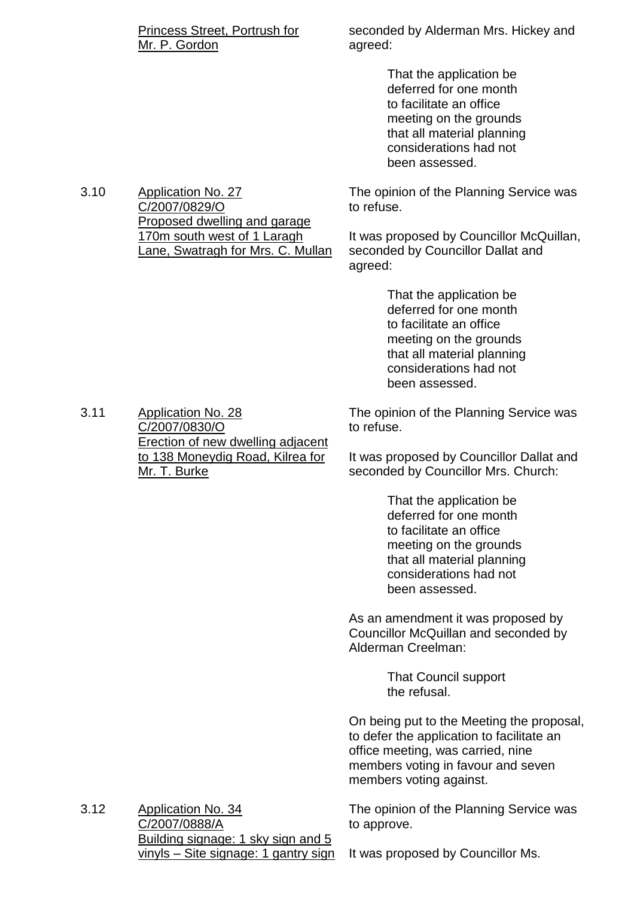| Princess Street, Portrush for |  |
|-------------------------------|--|
| Mr. P. Gordon                 |  |

seconded by Alderman Mrs. Hickey and agreed:

> That the application be deferred for one month to facilitate an office meeting on the grounds that all material planning considerations had not been assessed.

The opinion of the Planning Service was to refuse.

It was proposed by Councillor McQuillan, seconded by Councillor Dallat and agreed:

> That the application be deferred for one month to facilitate an office meeting on the grounds that all material planning considerations had not been assessed.

The opinion of the Planning Service was to refuse.

It was proposed by Councillor Dallat and seconded by Councillor Mrs. Church:

> That the application be deferred for one month to facilitate an office meeting on the grounds that all material planning considerations had not been assessed.

As an amendment it was proposed by Councillor McQuillan and seconded by Alderman Creelman:

> That Council support the refusal.

On being put to the Meeting the proposal, to defer the application to facilitate an office meeting, was carried, nine members voting in favour and seven members voting against.

The opinion of the Planning Service was to approve.

3.12 Application No. 34 C/2007/0888/A Building signage: 1 sky sign and 5 vinyls –Site signage: 1 gantry sign

It was proposed by Councillor Ms.

3.11 Application No. 28 C/2007/0830/O Erection of new dwelling adjacent to 138 Moneydig Road, Kilrea for Mr. T. Burke

3.10 Application No. 27 C/2007/0829/O Proposed dwelling and garage 170m south west of 1 Laragh Lane, Swatragh for Mrs. C. Mullan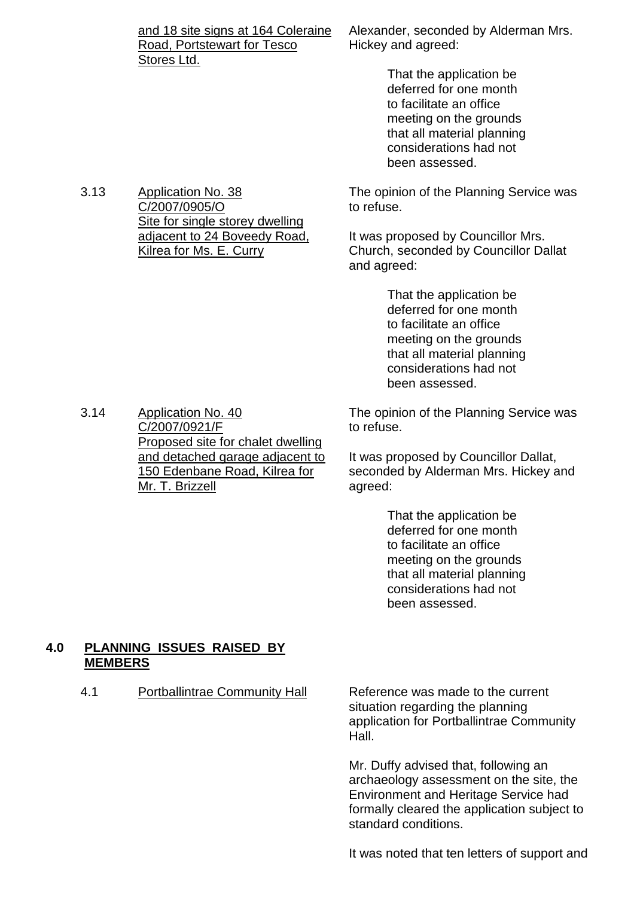| and 18 site signs at 164 Coleraine |
|------------------------------------|
| Road, Portstewart for Tesco        |
| Stores Ltd.                        |

Alexander, seconded by Alderman Mrs. Hickey and agreed:

> That the application be deferred for one month to facilitate an office meeting on the grounds that all material planning considerations had not been assessed.

The opinion of the Planning Service was to refuse.

It was proposed by Councillor Mrs. Church, seconded by Councillor Dallat and agreed:

> That the application be deferred for one month to facilitate an office meeting on the grounds that all material planning considerations had not been assessed.

The opinion of the Planning Service was to refuse.

It was proposed by Councillor Dallat, seconded by Alderman Mrs. Hickey and agreed:

> That the application be deferred for one month to facilitate an office meeting on the grounds that all material planning considerations had not been assessed.

#### **4.0 PLANNING ISSUES RAISED BY MEMBERS**

4.1 Portballintrae Community Hall Reference was made to the current

situation regarding the planning application for Portballintrae Community Hall.

Mr. Duffy advised that, following an archaeology assessment on the site, the Environment and Heritage Service had formally cleared the application subject to standard conditions.

It was noted that ten letters of support and

3.14 Application No. 40 C/2007/0921/F Proposed site for chalet dwelling and detached garage adjacent to 150 Edenbane Road, Kilrea for Mr. T. Brizzell

C/2007/0905/O

Site for single storey dwelling adjacent to 24 Boveedy Road,

Kilrea for Ms. E. Curry

#### 3.13 Application No. 38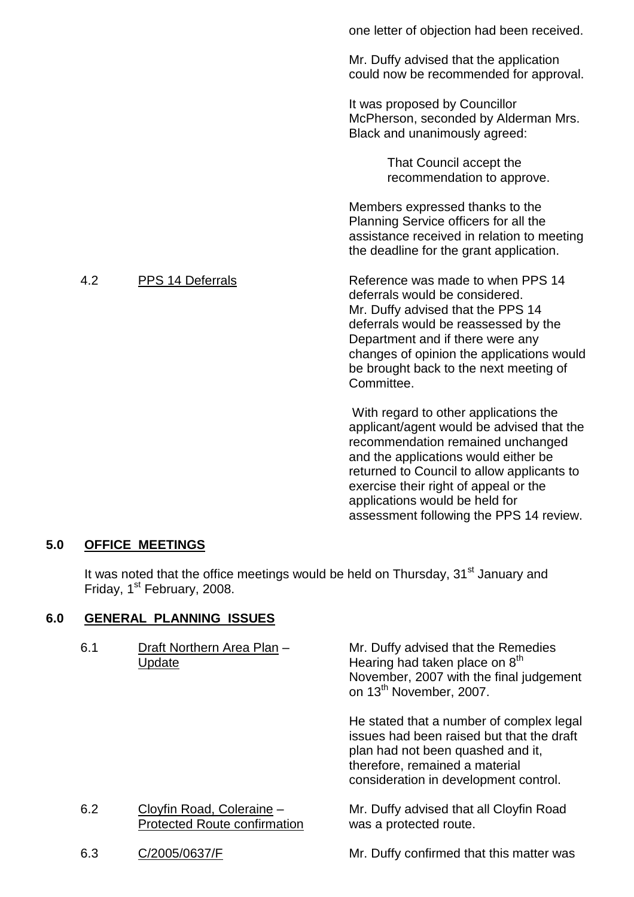|     |                         | one letter of objection had been received.                                                                                                                                                                                                                                                |
|-----|-------------------------|-------------------------------------------------------------------------------------------------------------------------------------------------------------------------------------------------------------------------------------------------------------------------------------------|
|     |                         | Mr. Duffy advised that the application<br>could now be recommended for approval.                                                                                                                                                                                                          |
|     |                         | It was proposed by Councillor<br>McPherson, seconded by Alderman Mrs.<br>Black and unanimously agreed:                                                                                                                                                                                    |
|     |                         | That Council accept the<br>recommendation to approve.                                                                                                                                                                                                                                     |
|     |                         | Members expressed thanks to the<br>Planning Service officers for all the<br>assistance received in relation to meeting<br>the deadline for the grant application.                                                                                                                         |
| 4.2 | <b>PPS 14 Deferrals</b> | Reference was made to when PPS 14<br>deferrals would be considered.<br>Mr. Duffy advised that the PPS 14<br>deferrals would be reassessed by the<br>Department and if there were any<br>changes of opinion the applications would<br>be brought back to the next meeting of<br>Committee. |
|     |                         | With regard to other applications the<br>applicant/agent would be advised that the                                                                                                                                                                                                        |

applicant/agent would be advised that the recommendation remained unchanged and the applications would either be returned to Council to allow applicants to exercise their right of appeal or the applications would be held for assessment following the PPS 14 review.

# **5.0 OFFICE MEETINGS**

It was noted that the office meetings would be held on Thursday, 31<sup>st</sup> January and Friday, 1<sup>st</sup> February, 2008.

# **6.0 GENERAL PLANNING ISSUES**

| 6.1 | Draft Northern Area Plan -<br>Update                             | Mr. Duffy advised that the Remedies<br>Hearing had taken place on 8 <sup>th</sup><br>November, 2007 with the final judgement<br>on 13 <sup>th</sup> November, 2007.                                   |
|-----|------------------------------------------------------------------|-------------------------------------------------------------------------------------------------------------------------------------------------------------------------------------------------------|
|     |                                                                  | He stated that a number of complex legal<br>issues had been raised but that the draft<br>plan had not been quashed and it,<br>therefore, remained a material<br>consideration in development control. |
| 6.2 | Cloyfin Road, Coleraine -<br><b>Protected Route confirmation</b> | Mr. Duffy advised that all Cloyfin Road<br>was a protected route.                                                                                                                                     |
| 6.3 | C/2005/0637/F                                                    | Mr. Duffy confirmed that this matter was                                                                                                                                                              |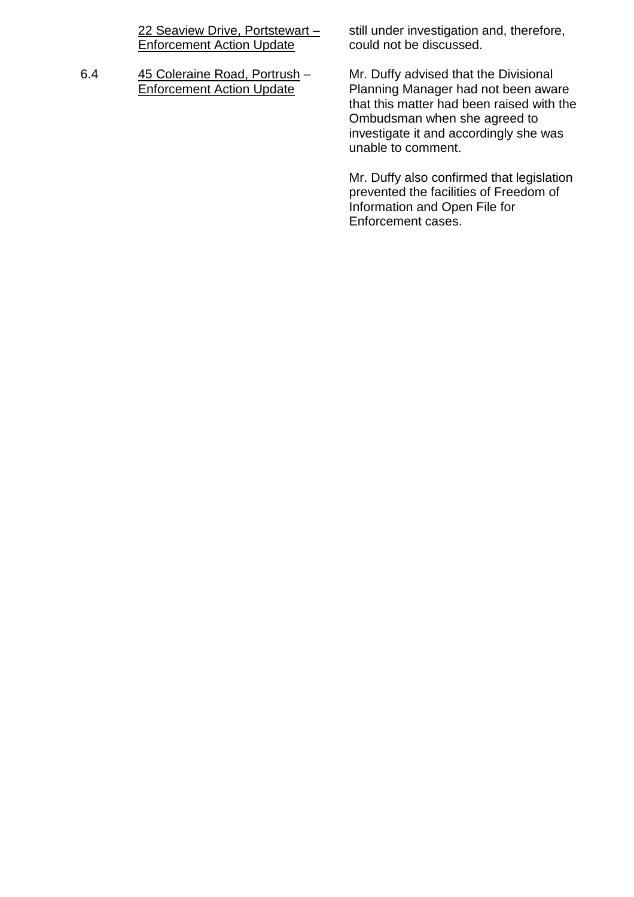22 Seaview Drive, Portstewart – **Enforcement Action Update** 

6.4 45 Coleraine Road, Portrush – Enforcement Action Update

still under investigation and, therefore, could not be discussed.

Mr. Duffy advised that the Divisional Planning Manager had not been aware that this matter had been raised with the Ombudsman when she agreed to investigate it and accordingly she was unable to comment.

Mr. Duffy also confirmed that legislation prevented the facilities of Freedom of Information and Open File for Enforcement cases.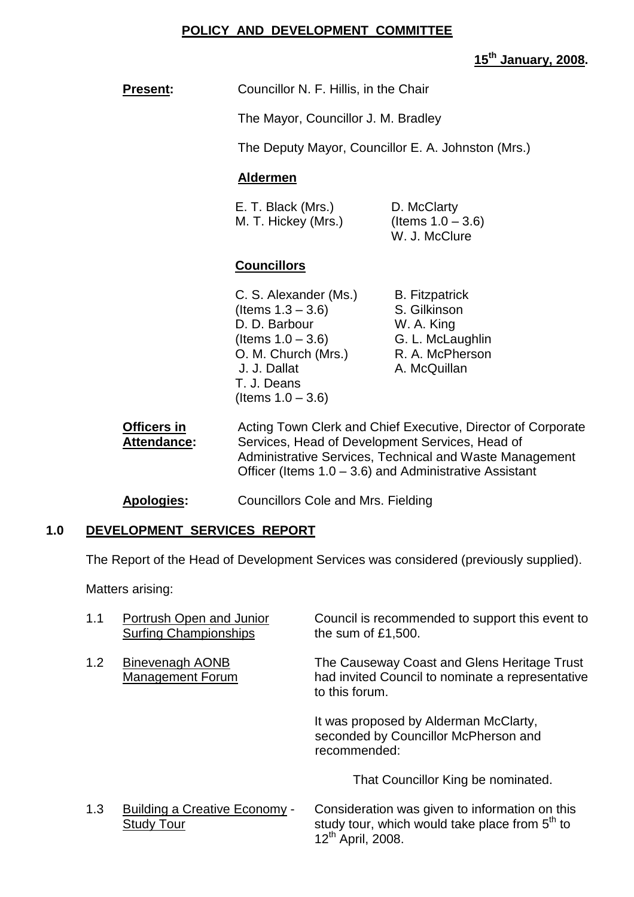## **POLICY AND DEVELOPMENT COMMITTEE**

**15th January, 2008.**

|                                   |                                                                                                                                                                      | <u>15th January, 2008.</u>                                                                                                                                                                                                              |  |  |
|-----------------------------------|----------------------------------------------------------------------------------------------------------------------------------------------------------------------|-----------------------------------------------------------------------------------------------------------------------------------------------------------------------------------------------------------------------------------------|--|--|
| <b>Present:</b>                   | Councillor N. F. Hillis, in the Chair                                                                                                                                |                                                                                                                                                                                                                                         |  |  |
|                                   | The Mayor, Councillor J. M. Bradley                                                                                                                                  |                                                                                                                                                                                                                                         |  |  |
|                                   |                                                                                                                                                                      | The Deputy Mayor, Councillor E. A. Johnston (Mrs.)                                                                                                                                                                                      |  |  |
|                                   | <b>Aldermen</b>                                                                                                                                                      |                                                                                                                                                                                                                                         |  |  |
|                                   | E. T. Black (Mrs.)<br>M. T. Hickey (Mrs.)                                                                                                                            | D. McClarty<br>(Items $1.0 - 3.6$ )<br>W. J. McClure                                                                                                                                                                                    |  |  |
|                                   | <b>Councillors</b>                                                                                                                                                   |                                                                                                                                                                                                                                         |  |  |
|                                   | C. S. Alexander (Ms.)<br>(Items $1.3 - 3.6$ )<br>D. D. Barbour<br>(Items $1.0 - 3.6$ )<br>O. M. Church (Mrs.)<br>J. J. Dallat<br>T. J. Deans<br>(Items $1.0 - 3.6$ ) | <b>B.</b> Fitzpatrick<br>S. Gilkinson<br>W. A. King<br>G. L. McLaughlin<br>R. A. McPherson<br>A. McQuillan                                                                                                                              |  |  |
| <b>Officers in</b><br>Attendance: |                                                                                                                                                                      | Acting Town Clerk and Chief Executive, Director of Corporate<br>Services, Head of Development Services, Head of<br>Administrative Services, Technical and Waste Management<br>Officer (Items $1.0 - 3.6$ ) and Administrative Assistant |  |  |

**Apologies:** Councillors Cole and Mrs. Fielding

# **1.0 DEVELOPMENT SERVICES REPORT**

The Report of the Head of Development Services was considered (previously supplied).

Matters arising:

| 1.1 | Portrush Open and Junior<br><b>Surfing Championships</b> | Council is recommended to support this event to<br>the sum of $£1,500$ .                                          |
|-----|----------------------------------------------------------|-------------------------------------------------------------------------------------------------------------------|
| 1.2 | Binevenagh AONB<br><b>Management Forum</b>               | The Causeway Coast and Glens Heritage Trust<br>had invited Council to nominate a representative<br>to this forum. |
|     |                                                          | It was proposed by Alderman McClarty,<br>seconded by Councillor McPherson and<br>recommended:                     |
|     |                                                          | That Councillor King be nominated.                                                                                |
| 1.3 | Building a Creative Economy -                            | Consideration was given to information on this                                                                    |

Study Tour study tour, which would take place from 5<sup>th</sup> to 12th April, 2008.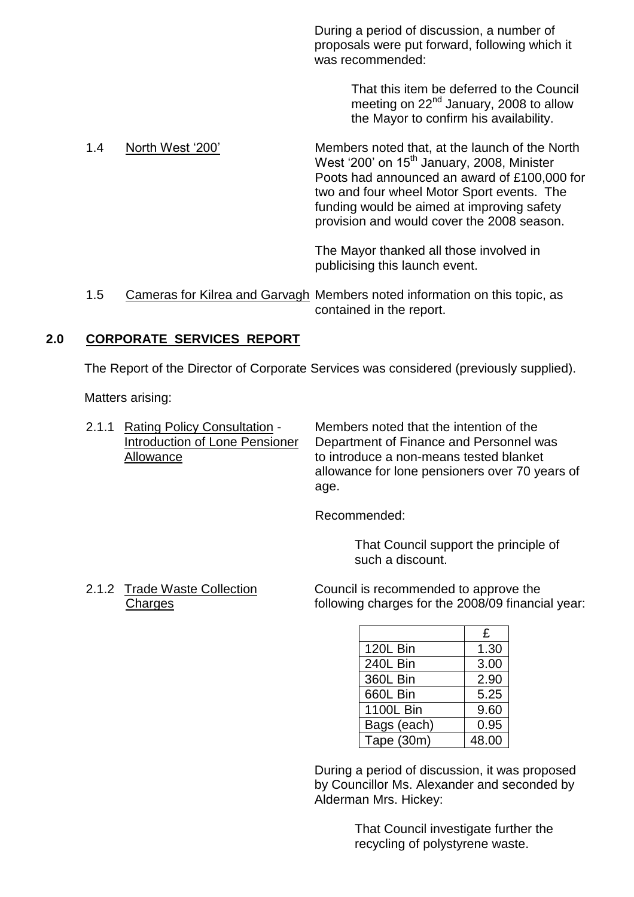During a period of discussion, a number of proposals were put forward, following which it was recommended:

> That this item be deferred to the Council meeting on 22<sup>nd</sup> January, 2008 to allow the Mayor to confirm his availability.

1.4 NorthWest'200' Members noted that, at the launch of the North West '200' on 15<sup>th</sup> January, 2008, Minister Poots had announced an award of £100,000 for two and four wheel Motor Sport events. The funding would be aimed at improving safety provision and would cover the 2008 season.

> The Mayor thanked all those involved in publicising this launch event.

1.5 Cameras for Kilrea and Garvagh Members noted information on this topic, as contained in the report.

# **2.0 CORPORATE SERVICES REPORT**

The Report of the Director of Corporate Services was considered (previously supplied).

Matters arising:

2.1.1 Rating Policy Consultation - Members noted that the intention of the Introduction of Lone Pensioner Department of Finance and Personnel was Allowance **to introduce a non-means tested blanket** allowance for lone pensioners over 70 years of age.

Recommended:

That Council support the principle of such a discount.

2.1.2 Trade Waste Collection Council is recommended to approve the Charges following charges for the 2008/09 financial year:

|                 | £     |
|-----------------|-------|
| <b>120L Bin</b> | 1.30  |
| 240L Bin        | 3.00  |
| 360L Bin        | 2.90  |
| 660L Bin        | 5.25  |
| 1100L Bin       | 9.60  |
| Bags (each)     | 0.95  |
| Tape (30m)      | 48.00 |

During a period of discussion, it was proposed by Councillor Ms. Alexander and seconded by Alderman Mrs. Hickey:

> That Council investigate further the recycling of polystyrene waste.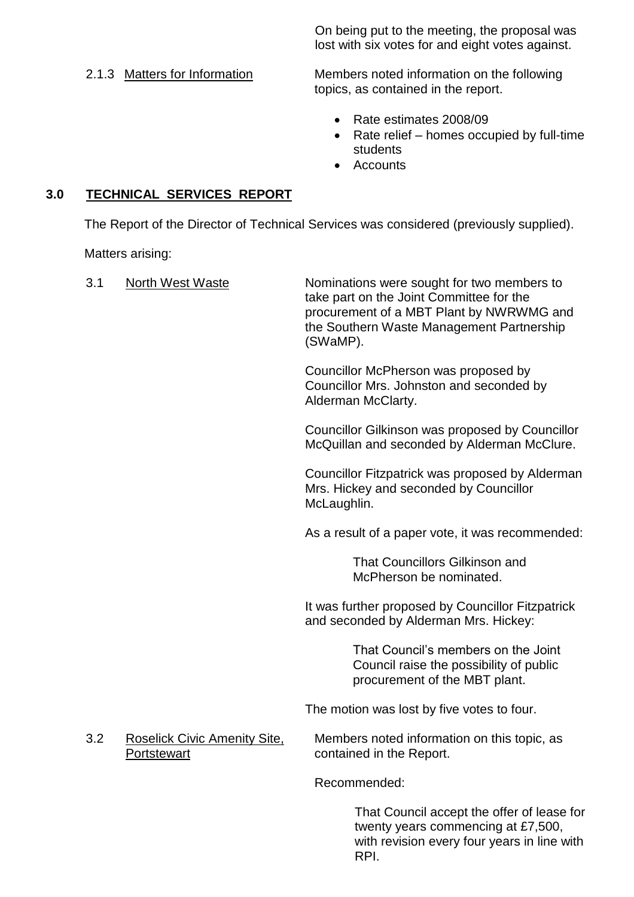On being put to the meeting, the proposal was lost with six votes for and eight votes against.

2.1.3 Matters for Information Members noted information on the following topics, as contained in the report.

- Rate estimates 2008/09
- $\bullet$  Rate relief homes occupied by full-time students
- Accounts

# **3.0 TECHNICAL SERVICES REPORT**

The Report of the Director of Technical Services was considered (previously supplied).

Matters arising:

| 3.1 | <b>North West Waste</b>                                   | Nominations were sought for two members to<br>take part on the Joint Committee for the<br>procurement of a MBT Plant by NWRWMG and<br>the Southern Waste Management Partnership<br>(SWaMP). |
|-----|-----------------------------------------------------------|---------------------------------------------------------------------------------------------------------------------------------------------------------------------------------------------|
|     |                                                           | Councillor McPherson was proposed by<br>Councillor Mrs. Johnston and seconded by<br>Alderman McClarty.                                                                                      |
|     |                                                           | Councillor Gilkinson was proposed by Councillor<br>McQuillan and seconded by Alderman McClure.                                                                                              |
|     |                                                           | Councillor Fitzpatrick was proposed by Alderman<br>Mrs. Hickey and seconded by Councillor<br>McLaughlin.                                                                                    |
|     |                                                           | As a result of a paper vote, it was recommended:                                                                                                                                            |
|     |                                                           | <b>That Councillors Gilkinson and</b><br>McPherson be nominated.                                                                                                                            |
|     |                                                           | It was further proposed by Councillor Fitzpatrick<br>and seconded by Alderman Mrs. Hickey:                                                                                                  |
|     |                                                           | That Council's members on the Joint<br>Council raise the possibility of public<br>procurement of the MBT plant.                                                                             |
|     |                                                           | The motion was lost by five votes to four.                                                                                                                                                  |
| 3.2 | <b>Roselick Civic Amenity Site,</b><br><b>Portstewart</b> | Members noted information on this topic, as<br>contained in the Report.                                                                                                                     |
|     |                                                           | Recommended:                                                                                                                                                                                |
|     |                                                           | That Council accept the offer of lease for<br>twenty years commencing at £7,500,<br>with revision every four years in line with<br>RPI.                                                     |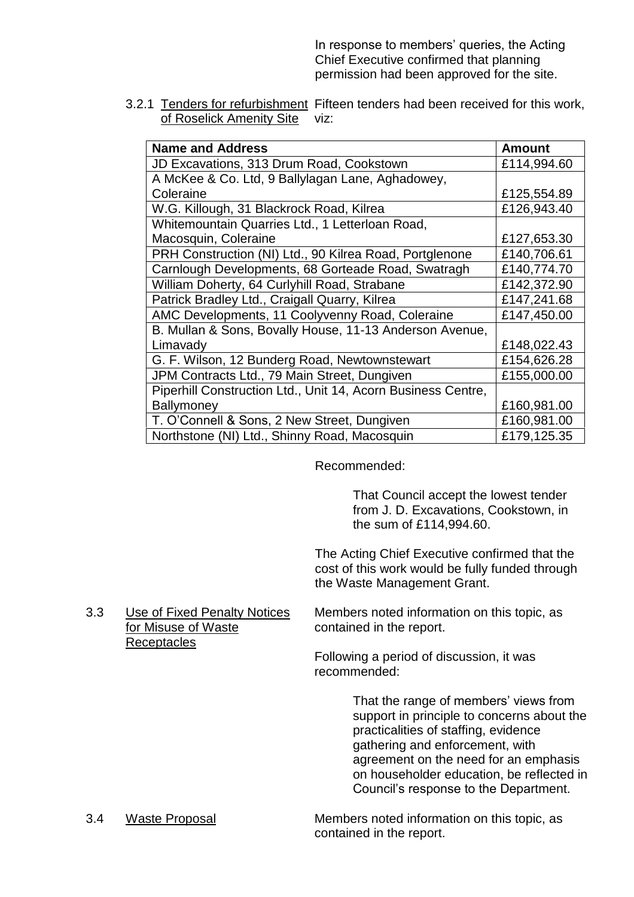In response to members' queries, the Acting Chief Executive confirmed that planning permission had been approved for the site.

3.2.1 Tenders for refurbishment Fifteen tenders had been received for this work, of Roselick Amenity Site viz:

| <b>Name and Address</b>                                      | <b>Amount</b> |
|--------------------------------------------------------------|---------------|
| JD Excavations, 313 Drum Road, Cookstown                     | £114,994.60   |
| A McKee & Co. Ltd, 9 Ballylagan Lane, Aghadowey,             |               |
| Coleraine                                                    | £125,554.89   |
| W.G. Killough, 31 Blackrock Road, Kilrea                     | £126,943.40   |
| Whitemountain Quarries Ltd., 1 Letterloan Road,              |               |
| Macosquin, Coleraine                                         | £127,653.30   |
| PRH Construction (NI) Ltd., 90 Kilrea Road, Portglenone      | £140,706.61   |
| Carnlough Developments, 68 Gorteade Road, Swatragh           | £140,774.70   |
| William Doherty, 64 Curlyhill Road, Strabane                 | £142,372.90   |
| Patrick Bradley Ltd., Craigall Quarry, Kilrea                | £147,241.68   |
| AMC Developments, 11 Coolyvenny Road, Coleraine              | £147,450.00   |
| B. Mullan & Sons, Bovally House, 11-13 Anderson Avenue,      |               |
| Limavady                                                     | £148,022.43   |
| G. F. Wilson, 12 Bunderg Road, Newtownstewart                | £154,626.28   |
| JPM Contracts Ltd., 79 Main Street, Dungiven                 | £155,000.00   |
| Piperhill Construction Ltd., Unit 14, Acorn Business Centre, |               |
| <b>Ballymoney</b>                                            | £160,981.00   |
| T. O'Connell & Sons, 2 New Street, Dungiven                  | £160,981.00   |
| Northstone (NI) Ltd., Shinny Road, Macosquin                 | £179,125.35   |

Recommended:

That Council accept the lowest tender from J. D. Excavations, Cookstown, in the sum of £114,994.60.

The Acting Chief Executive confirmed that the cost of this work would be fully funded through the Waste Management Grant.

3.3 Use of Fixed Penalty Notices Members noted information on this topic, as for Misuse of Waste **contained in the report. Receptacles** 

Following a period of discussion, it was recommended:

> That the range of members' views from support in principle to concerns about the practicalities of staffing, evidence gathering and enforcement, with agreement on the need for an emphasis on householder education, be reflected in Council's response to the Department.

3.4 Waste Proposal Members noted information on this topic, as contained in the report.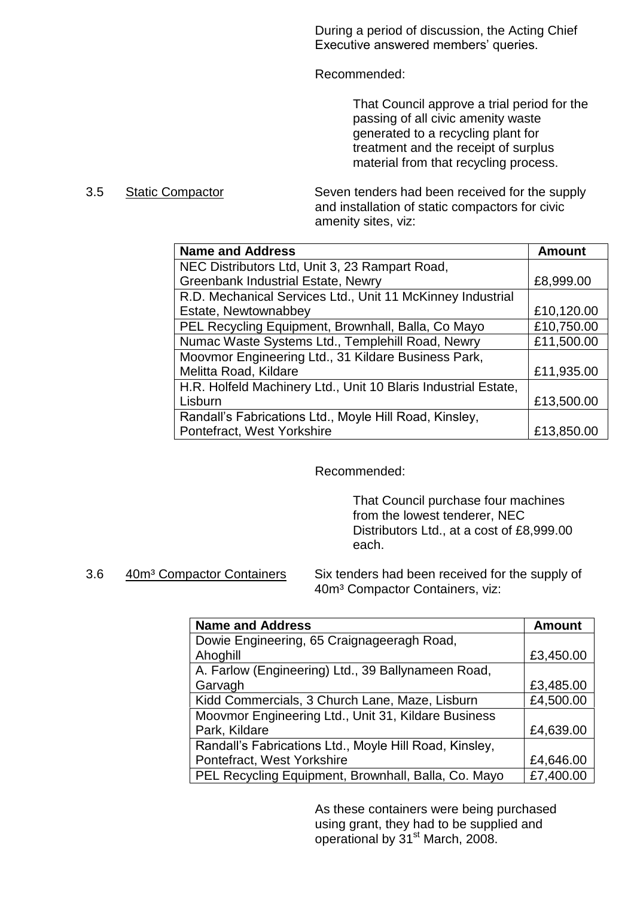During a period of discussion, the Acting Chief Executive answered members' queries.

Recommended:

That Council approve a trial period for the passing of all civic amenity waste generated to a recycling plant for treatment and the receipt of surplus material from that recycling process.

3.5 Static Compactor Seven tenders had been received for the supply and installation of static compactors for civic amenity sites, viz:

| <b>Name and Address</b>                                        | <b>Amount</b> |
|----------------------------------------------------------------|---------------|
| NEC Distributors Ltd, Unit 3, 23 Rampart Road,                 |               |
| <b>Greenbank Industrial Estate, Newry</b>                      | £8,999.00     |
| R.D. Mechanical Services Ltd., Unit 11 McKinney Industrial     |               |
| Estate, Newtownabbey                                           | £10,120.00    |
| PEL Recycling Equipment, Brownhall, Balla, Co Mayo             | £10,750.00    |
| Numac Waste Systems Ltd., Templehill Road, Newry               | £11,500.00    |
| Moovmor Engineering Ltd., 31 Kildare Business Park,            |               |
| Melitta Road, Kildare                                          | £11,935.00    |
| H.R. Holfeld Machinery Ltd., Unit 10 Blaris Industrial Estate, |               |
| Lisburn                                                        | £13,500.00    |
| Randall's Fabrications Ltd., Moyle Hill Road, Kinsley,         |               |
| Pontefract, West Yorkshire                                     | £13,850.00    |

## Recommended:

That Council purchase four machines from the lowest tenderer, NEC Distributors Ltd., at a cost of £8,999.00 each.

3.6 40m<sup>3</sup> Compactor Containers Six tenders had been received for the supply of

40m<sup>3</sup> Compactor Containers, viz:

| <b>Name and Address</b>                                | <b>Amount</b> |
|--------------------------------------------------------|---------------|
| Dowie Engineering, 65 Craignageeragh Road,             |               |
| Ahoghill                                               | £3,450.00     |
| A. Farlow (Engineering) Ltd., 39 Ballynameen Road,     |               |
| Garvagh                                                | £3,485.00     |
| Kidd Commercials, 3 Church Lane, Maze, Lisburn         | £4,500.00     |
| Moovmor Engineering Ltd., Unit 31, Kildare Business    |               |
| Park, Kildare                                          | £4,639.00     |
| Randall's Fabrications Ltd., Moyle Hill Road, Kinsley, |               |
| Pontefract, West Yorkshire                             | £4,646.00     |
| PEL Recycling Equipment, Brownhall, Balla, Co. Mayo    | £7,400.00     |

As these containers were being purchased using grant, they had to be supplied and operational by  $31^{st}$  March,  $2008$ .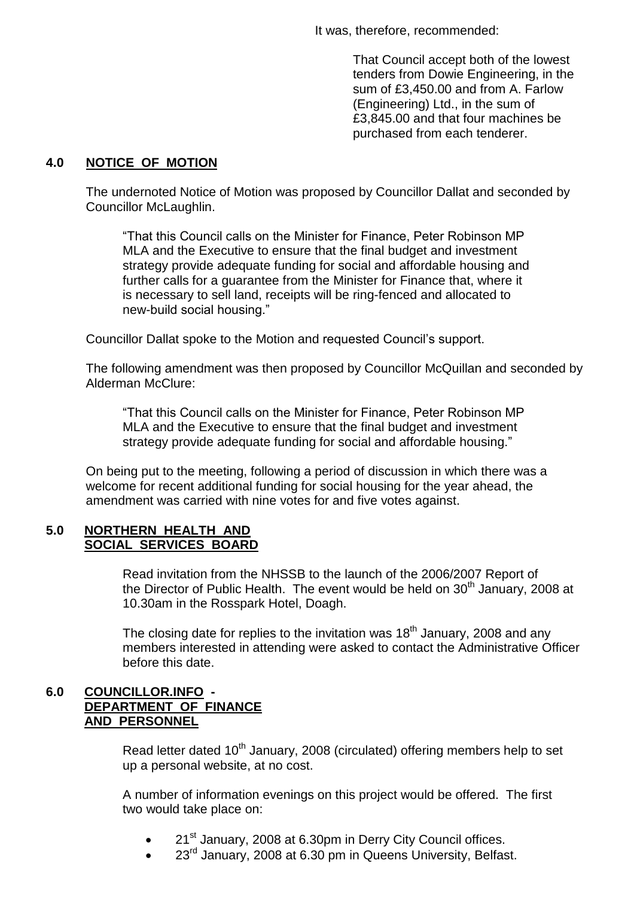It was, therefore, recommended:

That Council accept both of the lowest tenders from Dowie Engineering, in the sum of £3,450.00 and from A. Farlow (Engineering) Ltd., in the sum of £3,845.00 and that four machines be purchased from each tenderer.

# **4.0 NOTICE OF MOTION**

The undernoted Notice of Motion was proposed by Councillor Dallat and seconded by Councillor McLaughlin.

"That this Council calls on the Minister for Finance, Peter Robinson MP MLA and the Executive to ensure that the final budget and investment strategy provide adequate funding for social and affordable housing and further calls for a guarantee from the Minister for Finance that, where it is necessary to sell land, receipts will be ring-fenced and allocated to new-build social housing."

Councillor Dallat spoke to the Motion and requested Council's support.

The following amendment was then proposed by Councillor McQuillan and seconded by Alderman McClure:

"That this Council calls on the Minister for Finance, Peter Robinson MP MLA and the Executive to ensure that the final budget and investment strategy provide adequate funding for social and affordable housing."

On being put to the meeting, following a period of discussion in which there was a welcome for recent additional funding for social housing for the year ahead, the amendment was carried with nine votes for and five votes against.

#### **5.0 NORTHERN HEALTH AND SOCIAL SERVICES BOARD**

Read invitation from the NHSSB to the launch of the 2006/2007 Report of the Director of Public Health. The event would be held on  $30<sup>th</sup>$  January, 2008 at 10.30am in the Rosspark Hotel, Doagh.

The closing date for replies to the invitation was  $18<sup>th</sup>$  January, 2008 and any members interested in attending were asked to contact the Administrative Officer before this date.

# **6.0 COUNCILLOR.INFO - DEPARTMENT OF FINANCE AND PERSONNEL**

Read letter dated 10<sup>th</sup> January, 2008 (circulated) offering members help to set up a personal website, at no cost.

A number of information evenings on this project would be offered. The first two would take place on:

- 21<sup>st</sup> January, 2008 at 6.30pm in Derry City Council offices.
- 23<sup>rd</sup> January, 2008 at 6.30 pm in Queens University, Belfast.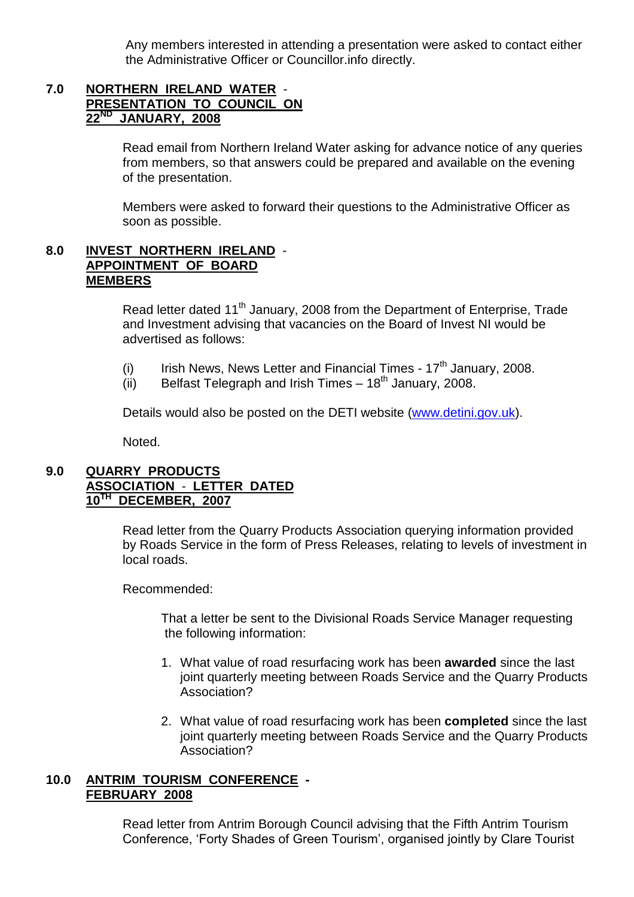Any members interested in attending a presentation were asked to contact either the Administrative Officer or Councillor.info directly.

## **7.0 NORTHERN IRELAND WATER** - **PRESENTATION TO COUNCIL ON 22ND JANUARY, 2008**

Read email from Northern Ireland Water asking for advance notice of any queries from members, so that answers could be prepared and available on the evening of the presentation.

Members were asked to forward their questions to the Administrative Officer as soon as possible.

### **8.0 INVEST NORTHERN IRELAND** - **APPOINTMENT OF BOARD MEMBERS**

Read letter dated 11<sup>th</sup> January, 2008 from the Department of Enterprise, Trade and Investment advising that vacancies on the Board of Invest NI would be advertised as follows:

- (i) Irish News, News Letter and Financial Times  $17<sup>th</sup>$  January, 2008.
- (ii) Belfast Telegraph and Irish Times  $18<sup>th</sup>$  January, 2008.

Details would also be posted on the DETI website (www.detini.gov.uk).

Noted.

## **9.0 QUARRY PRODUCTS ASSOCIATION** - **LETTER DATED 10TH DECEMBER, 2007**

Read letter from the Quarry Products Association querying information provided by Roads Service in the form of Press Releases, relating to levels of investment in local roads.

Recommended:

That a letter be sent to the Divisional Roads Service Manager requesting the following information:

- 1. What value of road resurfacing work has been **awarded** since the last joint quarterly meeting between Roads Service and the Quarry Products Association?
- 2. What value of road resurfacing work has been **completed** since the last joint quarterly meeting between Roads Service and the Quarry Products Association?

# **10.0 ANTRIM TOURISM CONFERENCE - FEBRUARY 2008**

Read letter from Antrim Borough Council advising that the Fifth Antrim Tourism Conference, 'Forty Shades of Green Tourism', organised jointly by Clare Tourist